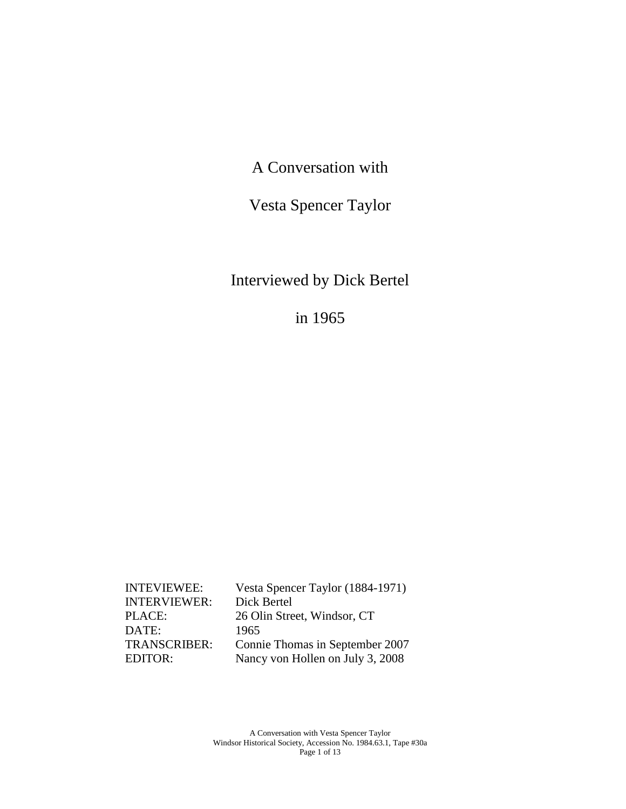A Conversation with

Vesta Spencer Taylor

Interviewed by Dick Bertel

in 1965

| <b>INTEVIEWEE:</b>  | Vesta Spencer Taylor (1884-1971) |
|---------------------|----------------------------------|
| <b>INTERVIEWER:</b> | Dick Bertel                      |
| PLACE:              | 26 Olin Street, Windsor, CT      |
| DATE:               | 1965                             |
| TRANSCRIBER:        | Connie Thomas in September 2007  |
| EDITOR:             | Nancy von Hollen on July 3, 2008 |
|                     |                                  |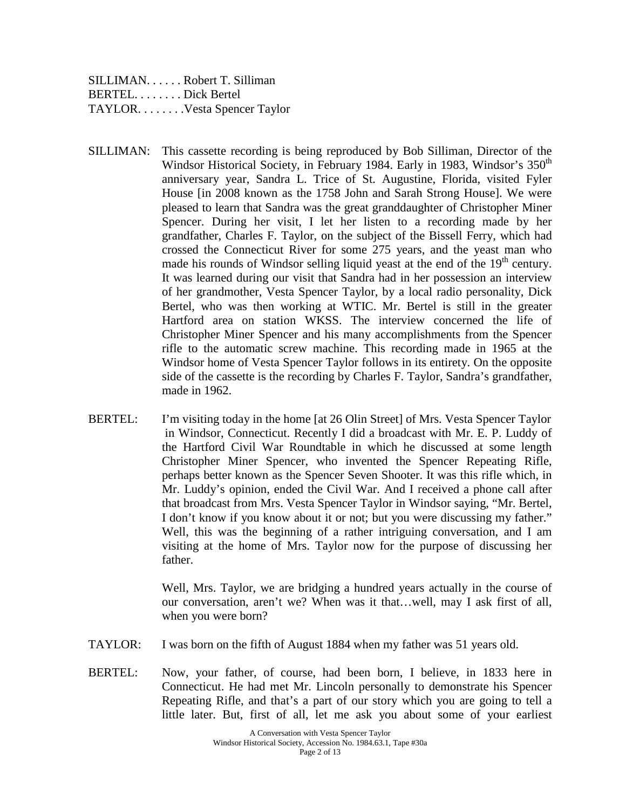SILLIMAN. . . . . . Robert T. Silliman BERTEL. . . . . . . . Dick Bertel TAYLOR. . . . . . . . . Vesta Spencer Taylor

- SILLIMAN: This cassette recording is being reproduced by Bob Silliman, Director of the Windsor Historical Society, in February 1984. Early in 1983, Windsor's 350<sup>th</sup> anniversary year, Sandra L. Trice of St. Augustine, Florida, visited Fyler House [in 2008 known as the 1758 John and Sarah Strong House]. We were pleased to learn that Sandra was the great granddaughter of Christopher Miner Spencer. During her visit, I let her listen to a recording made by her grandfather, Charles F. Taylor, on the subject of the Bissell Ferry, which had crossed the Connecticut River for some 275 years, and the yeast man who made his rounds of Windsor selling liquid yeast at the end of the  $19<sup>th</sup>$  century. It was learned during our visit that Sandra had in her possession an interview of her grandmother, Vesta Spencer Taylor, by a local radio personality, Dick Bertel, who was then working at WTIC. Mr. Bertel is still in the greater Hartford area on station WKSS. The interview concerned the life of Christopher Miner Spencer and his many accomplishments from the Spencer rifle to the automatic screw machine. This recording made in 1965 at the Windsor home of Vesta Spencer Taylor follows in its entirety. On the opposite side of the cassette is the recording by Charles F. Taylor, Sandra's grandfather, made in 1962.
- BERTEL: I'm visiting today in the home [at 26 Olin Street] of Mrs. Vesta Spencer Taylor in Windsor, Connecticut. Recently I did a broadcast with Mr. E. P. Luddy of the Hartford Civil War Roundtable in which he discussed at some length Christopher Miner Spencer, who invented the Spencer Repeating Rifle, perhaps better known as the Spencer Seven Shooter. It was this rifle which, in Mr. Luddy's opinion, ended the Civil War. And I received a phone call after that broadcast from Mrs. Vesta Spencer Taylor in Windsor saying, "Mr. Bertel, I don't know if you know about it or not; but you were discussing my father." Well, this was the beginning of a rather intriguing conversation, and I am visiting at the home of Mrs. Taylor now for the purpose of discussing her father.

Well, Mrs. Taylor, we are bridging a hundred years actually in the course of our conversation, aren't we? When was it that…well, may I ask first of all, when you were born?

- TAYLOR: I was born on the fifth of August 1884 when my father was 51 years old.
- BERTEL: Now, your father, of course, had been born, I believe, in 1833 here in Connecticut. He had met Mr. Lincoln personally to demonstrate his Spencer Repeating Rifle, and that's a part of our story which you are going to tell a little later. But, first of all, let me ask you about some of your earliest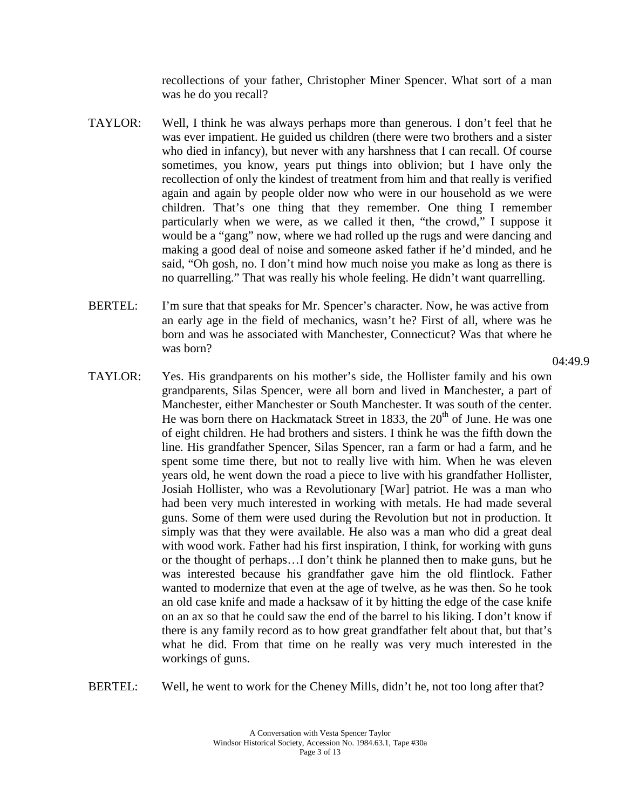recollections of your father, Christopher Miner Spencer. What sort of a man was he do you recall?

- TAYLOR: Well, I think he was always perhaps more than generous. I don't feel that he was ever impatient. He guided us children (there were two brothers and a sister who died in infancy), but never with any harshness that I can recall. Of course sometimes, you know, years put things into oblivion; but I have only the recollection of only the kindest of treatment from him and that really is verified again and again by people older now who were in our household as we were children. That's one thing that they remember. One thing I remember particularly when we were, as we called it then, "the crowd," I suppose it would be a "gang" now, where we had rolled up the rugs and were dancing and making a good deal of noise and someone asked father if he'd minded, and he said, "Oh gosh, no. I don't mind how much noise you make as long as there is no quarrelling." That was really his whole feeling. He didn't want quarrelling.
- BERTEL: I'm sure that that speaks for Mr. Spencer's character. Now, he was active from an early age in the field of mechanics, wasn't he? First of all, where was he born and was he associated with Manchester, Connecticut? Was that where he was born?
- TAYLOR: Yes. His grandparents on his mother's side, the Hollister family and his own grandparents, Silas Spencer, were all born and lived in Manchester, a part of Manchester, either Manchester or South Manchester. It was south of the center. He was born there on Hackmatack Street in 1833, the  $20<sup>th</sup>$  of June. He was one of eight children. He had brothers and sisters. I think he was the fifth down the line. His grandfather Spencer, Silas Spencer, ran a farm or had a farm, and he spent some time there, but not to really live with him. When he was eleven years old, he went down the road a piece to live with his grandfather Hollister, Josiah Hollister, who was a Revolutionary [War] patriot. He was a man who had been very much interested in working with metals. He had made several guns. Some of them were used during the Revolution but not in production. It simply was that they were available. He also was a man who did a great deal with wood work. Father had his first inspiration, I think, for working with guns or the thought of perhaps…I don't think he planned then to make guns, but he was interested because his grandfather gave him the old flintlock. Father wanted to modernize that even at the age of twelve, as he was then. So he took an old case knife and made a hacksaw of it by hitting the edge of the case knife on an ax so that he could saw the end of the barrel to his liking. I don't know if there is any family record as to how great grandfather felt about that, but that's what he did. From that time on he really was very much interested in the workings of guns.

BERTEL: Well, he went to work for the Cheney Mills, didn't he, not too long after that?

 $04:49.9$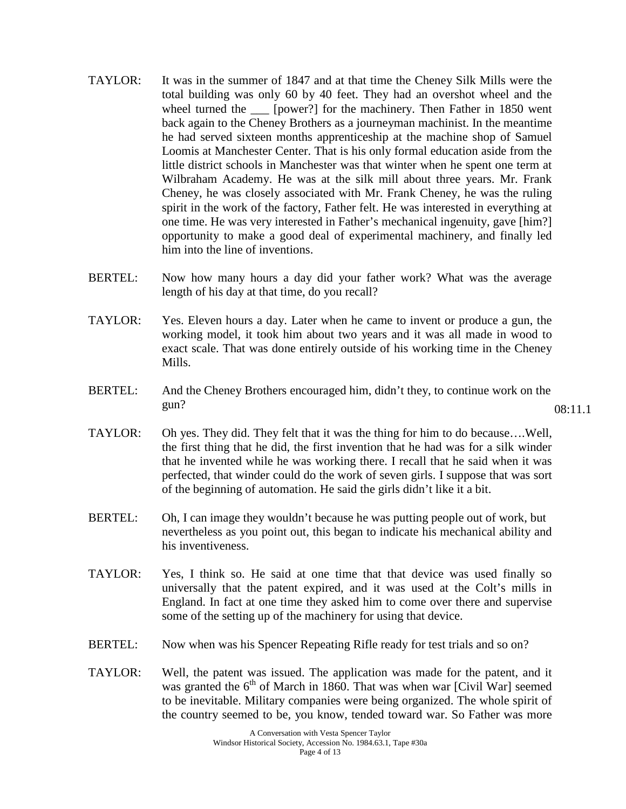- TAYLOR: It was in the summer of 1847 and at that time the Cheney Silk Mills were the total building was only 60 by 40 feet. They had an overshot wheel and the wheel turned the  $\quad$  [power?] for the machinery. Then Father in 1850 went back again to the Cheney Brothers as a journeyman machinist. In the meantime he had served sixteen months apprenticeship at the machine shop of Samuel Loomis at Manchester Center. That is his only formal education aside from the little district schools in Manchester was that winter when he spent one term at Wilbraham Academy. He was at the silk mill about three years. Mr. Frank Cheney, he was closely associated with Mr. Frank Cheney, he was the ruling spirit in the work of the factory, Father felt. He was interested in everything at one time. He was very interested in Father's mechanical ingenuity, gave [him?] opportunity to make a good deal of experimental machinery, and finally led him into the line of inventions.
- BERTEL: Now how many hours a day did your father work? What was the average length of his day at that time, do you recall?
- TAYLOR: Yes. Eleven hours a day. Later when he came to invent or produce a gun, the working model, it took him about two years and it was all made in wood to exact scale. That was done entirely outside of his working time in the Cheney Mills.
- BERTEL: And the Cheney Brothers encouraged him, didn't they, to continue work on the gun? 08:11.1
- TAYLOR: Oh yes. They did. They felt that it was the thing for him to do because….Well, the first thing that he did, the first invention that he had was for a silk winder that he invented while he was working there. I recall that he said when it was perfected, that winder could do the work of seven girls. I suppose that was sort of the beginning of automation. He said the girls didn't like it a bit.
- BERTEL: Oh, I can image they wouldn't because he was putting people out of work, but nevertheless as you point out, this began to indicate his mechanical ability and his inventiveness.
- TAYLOR: Yes, I think so. He said at one time that that device was used finally so universally that the patent expired, and it was used at the Colt's mills in England. In fact at one time they asked him to come over there and supervise some of the setting up of the machinery for using that device.
- BERTEL: Now when was his Spencer Repeating Rifle ready for test trials and so on?
- TAYLOR: Well, the patent was issued. The application was made for the patent, and it was granted the  $6<sup>th</sup>$  of March in 1860. That was when war [Civil War] seemed to be inevitable. Military companies were being organized. The whole spirit of the country seemed to be, you know, tended toward war. So Father was more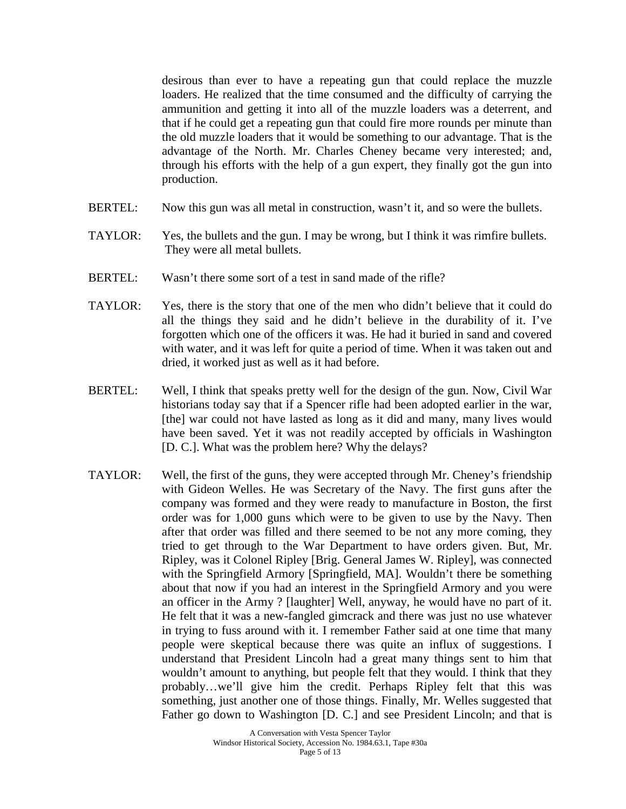desirous than ever to have a repeating gun that could replace the muzzle loaders. He realized that the time consumed and the difficulty of carrying the ammunition and getting it into all of the muzzle loaders was a deterrent, and that if he could get a repeating gun that could fire more rounds per minute than the old muzzle loaders that it would be something to our advantage. That is the advantage of the North. Mr. Charles Cheney became very interested; and, through his efforts with the help of a gun expert, they finally got the gun into production.

- BERTEL: Now this gun was all metal in construction, wasn't it, and so were the bullets.
- TAYLOR: Yes, the bullets and the gun. I may be wrong, but I think it was rimfire bullets. They were all metal bullets.
- BERTEL: Wasn't there some sort of a test in sand made of the rifle?
- TAYLOR: Yes, there is the story that one of the men who didn't believe that it could do all the things they said and he didn't believe in the durability of it. I've forgotten which one of the officers it was. He had it buried in sand and covered with water, and it was left for quite a period of time. When it was taken out and dried, it worked just as well as it had before.
- BERTEL: Well, I think that speaks pretty well for the design of the gun. Now, Civil War historians today say that if a Spencer rifle had been adopted earlier in the war, [the] war could not have lasted as long as it did and many, many lives would have been saved. Yet it was not readily accepted by officials in Washington [D. C.]. What was the problem here? Why the delays?
- TAYLOR: Well, the first of the guns, they were accepted through Mr. Cheney's friendship with Gideon Welles. He was Secretary of the Navy. The first guns after the company was formed and they were ready to manufacture in Boston, the first order was for 1,000 guns which were to be given to use by the Navy. Then after that order was filled and there seemed to be not any more coming, they tried to get through to the War Department to have orders given. But, Mr. Ripley, was it Colonel Ripley [Brig. General James W. Ripley], was connected with the Springfield Armory [Springfield, MA]. Wouldn't there be something about that now if you had an interest in the Springfield Armory and you were an officer in the Army ? [laughter] Well, anyway, he would have no part of it. He felt that it was a new-fangled gimcrack and there was just no use whatever in trying to fuss around with it. I remember Father said at one time that many people were skeptical because there was quite an influx of suggestions. I understand that President Lincoln had a great many things sent to him that wouldn't amount to anything, but people felt that they would. I think that they probably…we'll give him the credit. Perhaps Ripley felt that this was something, just another one of those things. Finally, Mr. Welles suggested that Father go down to Washington [D. C.] and see President Lincoln; and that is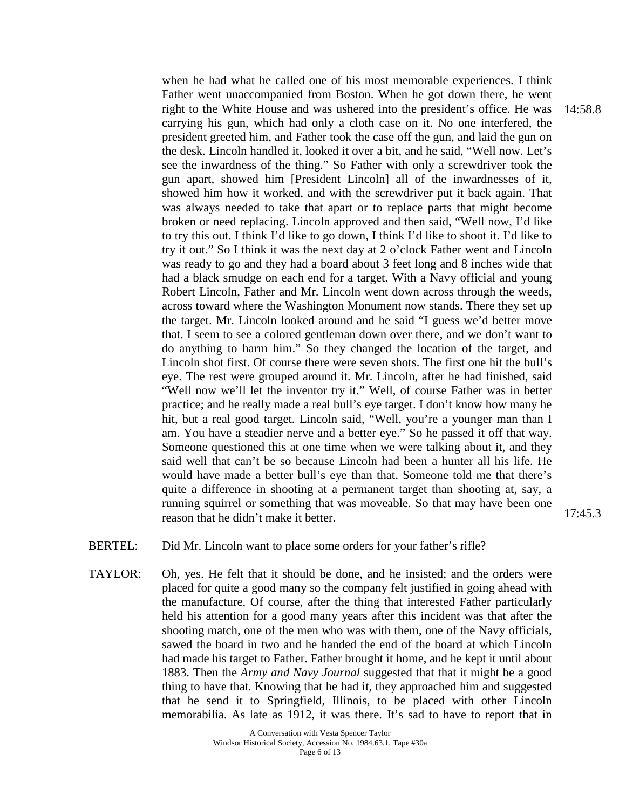when he had what he called one of his most memorable experiences. I think Father went unaccompanied from Boston. When he got down there, he went right to the White House and was ushered into the president's office. He was carrying his gun, which had only a cloth case on it. No one interfered, the president greeted him, and Father took the case off the gun, and laid the gun on the desk. Lincoln handled it, looked it over a bit, and he said, "Well now. Let's see the inwardness of the thing." So Father with only a screwdriver took the gun apart, showed him [President Lincoln] all of the inwardnesses of it, showed him how it worked, and with the screwdriver put it back again. That was always needed to take that apart or to replace parts that might become broken or need replacing. Lincoln approved and then said, "Well now, I'd like to try this out. I think I'd like to go down, I think I'd like to shoot it. I'd like to try it out." So I think it was the next day at 2 o'clock Father went and Lincoln was ready to go and they had a board about 3 feet long and 8 inches wide that had a black smudge on each end for a target. With a Navy official and young Robert Lincoln, Father and Mr. Lincoln went down across through the weeds, across toward where the Washington Monument now stands. There they set up the target. Mr. Lincoln looked around and he said "I guess we'd better move that. I seem to see a colored gentleman down over there, and we don't want to do anything to harm him." So they changed the location of the target, and Lincoln shot first. Of course there were seven shots. The first one hit the bull's eye. The rest were grouped around it. Mr. Lincoln, after he had finished, said "Well now we'll let the inventor try it." Well, of course Father was in better practice; and he really made a real bull's eye target. I don't know how many he hit, but a real good target. Lincoln said, "Well, you're a younger man than I am. You have a steadier nerve and a better eye." So he passed it off that way. Someone questioned this at one time when we were talking about it, and they said well that can't be so because Lincoln had been a hunter all his life. He would have made a better bull's eye than that. Someone told me that there's quite a difference in shooting at a permanent target than shooting at, say, a running squirrel or something that was moveable. So that may have been one reason that he didn't make it better.

- BERTEL: Did Mr. Lincoln want to place some orders for your father's rifle?
- TAYLOR: Oh, yes. He felt that it should be done, and he insisted; and the orders were placed for quite a good many so the company felt justified in going ahead with the manufacture. Of course, after the thing that interested Father particularly held his attention for a good many years after this incident was that after the shooting match, one of the men who was with them, one of the Navy officials, sawed the board in two and he handed the end of the board at which Lincoln had made his target to Father. Father brought it home, and he kept it until about 1883. Then the *Army and Navy Journal* suggested that that it might be a good thing to have that. Knowing that he had it, they approached him and suggested that he send it to Springfield, Illinois, to be placed with other Lincoln memorabilia. As late as 1912, it was there. It's sad to have to report that in

14:58.8

17:45.3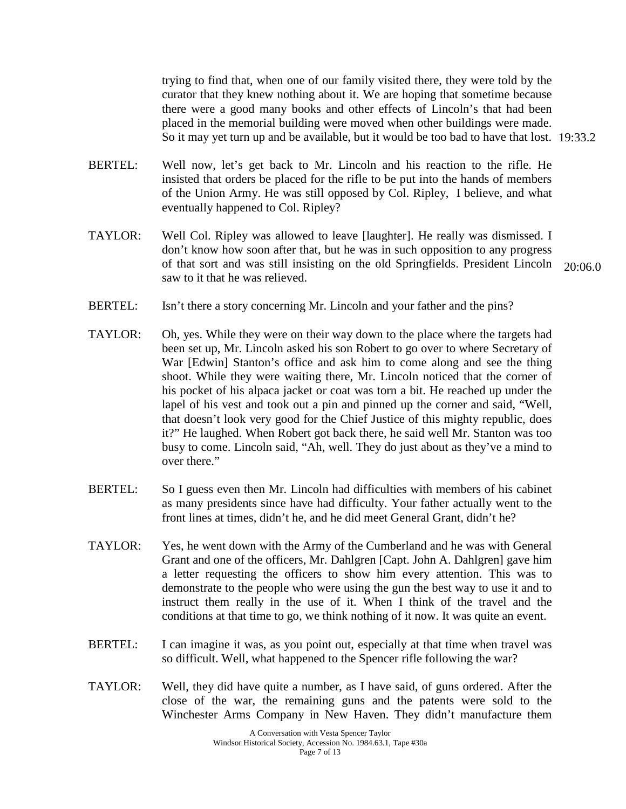trying to find that, when one of our family visited there, they were told by the curator that they knew nothing about it. We are hoping that sometime because there were a good many books and other effects of Lincoln's that had been placed in the memorial building were moved when other buildings were made. So it may yet turn up and be available, but it would be too bad to have that lost. 19:33.2

- BERTEL: Well now, let's get back to Mr. Lincoln and his reaction to the rifle. He insisted that orders be placed for the rifle to be put into the hands of members of the Union Army. He was still opposed by Col. Ripley, I believe, and what eventually happened to Col. Ripley?
- TAYLOR: Well Col. Ripley was allowed to leave [laughter]. He really was dismissed. I don't know how soon after that, but he was in such opposition to any progress of that sort and was still insisting on the old Springfields. President Lincoln 20:06.0 saw to it that he was relieved.

- BERTEL: Isn't there a story concerning Mr. Lincoln and your father and the pins?
- TAYLOR: Oh, yes. While they were on their way down to the place where the targets had been set up, Mr. Lincoln asked his son Robert to go over to where Secretary of War [Edwin] Stanton's office and ask him to come along and see the thing shoot. While they were waiting there, Mr. Lincoln noticed that the corner of his pocket of his alpaca jacket or coat was torn a bit. He reached up under the lapel of his vest and took out a pin and pinned up the corner and said, "Well, that doesn't look very good for the Chief Justice of this mighty republic, does it?" He laughed. When Robert got back there, he said well Mr. Stanton was too busy to come. Lincoln said, "Ah, well. They do just about as they've a mind to over there."
- BERTEL: So I guess even then Mr. Lincoln had difficulties with members of his cabinet as many presidents since have had difficulty. Your father actually went to the front lines at times, didn't he, and he did meet General Grant, didn't he?
- TAYLOR: Yes, he went down with the Army of the Cumberland and he was with General Grant and one of the officers, Mr. Dahlgren [Capt. John A. Dahlgren] gave him a letter requesting the officers to show him every attention. This was to demonstrate to the people who were using the gun the best way to use it and to instruct them really in the use of it. When I think of the travel and the conditions at that time to go, we think nothing of it now. It was quite an event.
- BERTEL: I can imagine it was, as you point out, especially at that time when travel was so difficult. Well, what happened to the Spencer rifle following the war?
- TAYLOR: Well, they did have quite a number, as I have said, of guns ordered. After the close of the war, the remaining guns and the patents were sold to the Winchester Arms Company in New Haven. They didn't manufacture them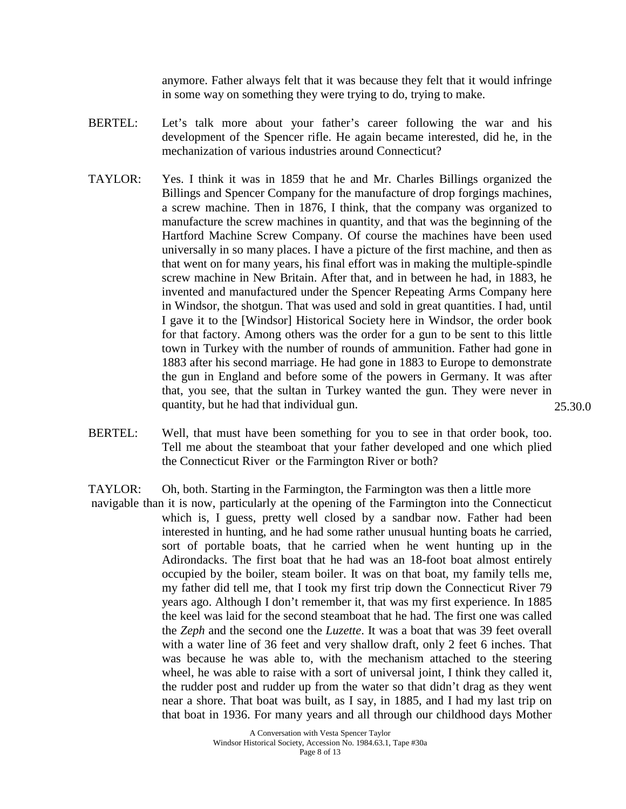anymore. Father always felt that it was because they felt that it would infringe in some way on something they were trying to do, trying to make.

- BERTEL: Let's talk more about your father's career following the war and his development of the Spencer rifle. He again became interested, did he, in the mechanization of various industries around Connecticut?
- TAYLOR: Yes. I think it was in 1859 that he and Mr. Charles Billings organized the Billings and Spencer Company for the manufacture of drop forgings machines, a screw machine. Then in 1876, I think, that the company was organized to manufacture the screw machines in quantity, and that was the beginning of the Hartford Machine Screw Company. Of course the machines have been used universally in so many places. I have a picture of the first machine, and then as that went on for many years, his final effort was in making the multiple-spindle screw machine in New Britain. After that, and in between he had, in 1883, he invented and manufactured under the Spencer Repeating Arms Company here in Windsor, the shotgun. That was used and sold in great quantities. I had, until I gave it to the [Windsor] Historical Society here in Windsor, the order book for that factory. Among others was the order for a gun to be sent to this little town in Turkey with the number of rounds of ammunition. Father had gone in 1883 after his second marriage. He had gone in 1883 to Europe to demonstrate the gun in England and before some of the powers in Germany. It was after that, you see, that the sultan in Turkey wanted the gun. They were never in quantity, but he had that individual gun.
- BERTEL: Well, that must have been something for you to see in that order book, too. Tell me about the steamboat that your father developed and one which plied the Connecticut River or the Farmington River or both?
- TAYLOR: Oh, both. Starting in the Farmington, the Farmington was then a little more
- navigable than it is now, particularly at the opening of the Farmington into the Connecticut which is, I guess, pretty well closed by a sandbar now. Father had been interested in hunting, and he had some rather unusual hunting boats he carried, sort of portable boats, that he carried when he went hunting up in the Adirondacks. The first boat that he had was an 18-foot boat almost entirely occupied by the boiler, steam boiler. It was on that boat, my family tells me, my father did tell me, that I took my first trip down the Connecticut River 79 years ago. Although I don't remember it, that was my first experience. In 1885 the keel was laid for the second steamboat that he had. The first one was called the *Zeph* and the second one the *Luzette*. It was a boat that was 39 feet overall with a water line of 36 feet and very shallow draft, only 2 feet 6 inches. That was because he was able to, with the mechanism attached to the steering wheel, he was able to raise with a sort of universal joint, I think they called it, the rudder post and rudder up from the water so that didn't drag as they went near a shore. That boat was built, as I say, in 1885, and I had my last trip on that boat in 1936. For many years and all through our childhood days Mother

25.30.0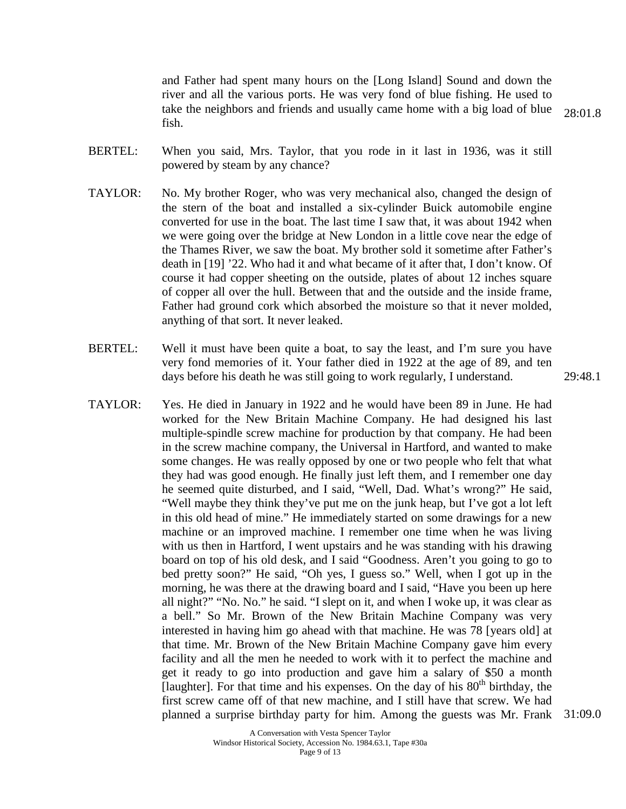and Father had spent many hours on the [Long Island] Sound and down the river and all the various ports. He was very fond of blue fishing. He used to take the neighbors and friends and usually came home with a big load of blue fish.

- BERTEL: When you said, Mrs. Taylor, that you rode in it last in 1936, was it still powered by steam by any chance?
- TAYLOR: No. My brother Roger, who was very mechanical also, changed the design of the stern of the boat and installed a six-cylinder Buick automobile engine converted for use in the boat. The last time I saw that, it was about 1942 when we were going over the bridge at New London in a little cove near the edge of the Thames River, we saw the boat. My brother sold it sometime after Father's death in [19] '22. Who had it and what became of it after that, I don't know. Of course it had copper sheeting on the outside, plates of about 12 inches square of copper all over the hull. Between that and the outside and the inside frame, Father had ground cork which absorbed the moisture so that it never molded, anything of that sort. It never leaked.
- BERTEL: Well it must have been quite a boat, to say the least, and I'm sure you have very fond memories of it. Your father died in 1922 at the age of 89, and ten days before his death he was still going to work regularly, I understand.
- TAYLOR: Yes. He died in January in 1922 and he would have been 89 in June. He had worked for the New Britain Machine Company. He had designed his last multiple-spindle screw machine for production by that company. He had been in the screw machine company, the Universal in Hartford, and wanted to make some changes. He was really opposed by one or two people who felt that what they had was good enough. He finally just left them, and I remember one day he seemed quite disturbed, and I said, "Well, Dad. What's wrong?" He said, "Well maybe they think they've put me on the junk heap, but I've got a lot left in this old head of mine." He immediately started on some drawings for a new machine or an improved machine. I remember one time when he was living with us then in Hartford, I went upstairs and he was standing with his drawing board on top of his old desk, and I said "Goodness. Aren't you going to go to bed pretty soon?" He said, "Oh yes, I guess so." Well, when I got up in the morning, he was there at the drawing board and I said, "Have you been up here all night?" "No. No." he said. "I slept on it, and when I woke up, it was clear as a bell." So Mr. Brown of the New Britain Machine Company was very interested in having him go ahead with that machine. He was 78 [years old] at that time. Mr. Brown of the New Britain Machine Company gave him every facility and all the men he needed to work with it to perfect the machine and get it ready to go into production and gave him a salary of \$50 a month [laughter]. For that time and his expenses. On the day of his  $80<sup>th</sup>$  birthday, the first screw came off of that new machine, and I still have that screw. We had planned a surprise birthday party for him. Among the guests was Mr. Frank 31:09.0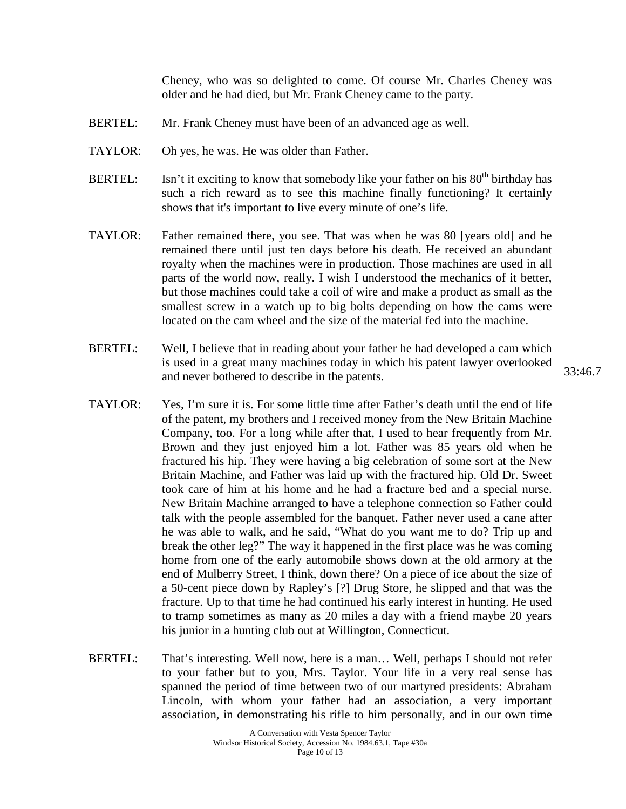Cheney, who was so delighted to come. Of course Mr. Charles Cheney was older and he had died, but Mr. Frank Cheney came to the party.

- BERTEL: Mr. Frank Cheney must have been of an advanced age as well.
- TAYLOR: Oh yes, he was. He was older than Father.
- BERTEL: Isn't it exciting to know that somebody like your father on his  $80<sup>th</sup>$  birthday has such a rich reward as to see this machine finally functioning? It certainly shows that it's important to live every minute of one's life.
- TAYLOR: Father remained there, you see. That was when he was 80 [years old] and he remained there until just ten days before his death. He received an abundant royalty when the machines were in production. Those machines are used in all parts of the world now, really. I wish I understood the mechanics of it better, but those machines could take a coil of wire and make a product as small as the smallest screw in a watch up to big bolts depending on how the cams were located on the cam wheel and the size of the material fed into the machine.
- BERTEL: Well, I believe that in reading about your father he had developed a cam which is used in a great many machines today in which his patent lawyer overlooked and never bothered to describe in the patents.
- TAYLOR: Yes, I'm sure it is. For some little time after Father's death until the end of life of the patent, my brothers and I received money from the New Britain Machine Company, too. For a long while after that, I used to hear frequently from Mr. Brown and they just enjoyed him a lot. Father was 85 years old when he fractured his hip. They were having a big celebration of some sort at the New Britain Machine, and Father was laid up with the fractured hip. Old Dr. Sweet took care of him at his home and he had a fracture bed and a special nurse. New Britain Machine arranged to have a telephone connection so Father could talk with the people assembled for the banquet. Father never used a cane after he was able to walk, and he said, "What do you want me to do? Trip up and break the other leg?" The way it happened in the first place was he was coming home from one of the early automobile shows down at the old armory at the end of Mulberry Street, I think, down there? On a piece of ice about the size of a 50-cent piece down by Rapley's [?] Drug Store, he slipped and that was the fracture. Up to that time he had continued his early interest in hunting. He used to tramp sometimes as many as 20 miles a day with a friend maybe 20 years his junior in a hunting club out at Willington, Connecticut.
- BERTEL: That's interesting. Well now, here is a man... Well, perhaps I should not refer to your father but to you, Mrs. Taylor. Your life in a very real sense has spanned the period of time between two of our martyred presidents: Abraham Lincoln, with whom your father had an association, a very important association, in demonstrating his rifle to him personally, and in our own time

33:46.7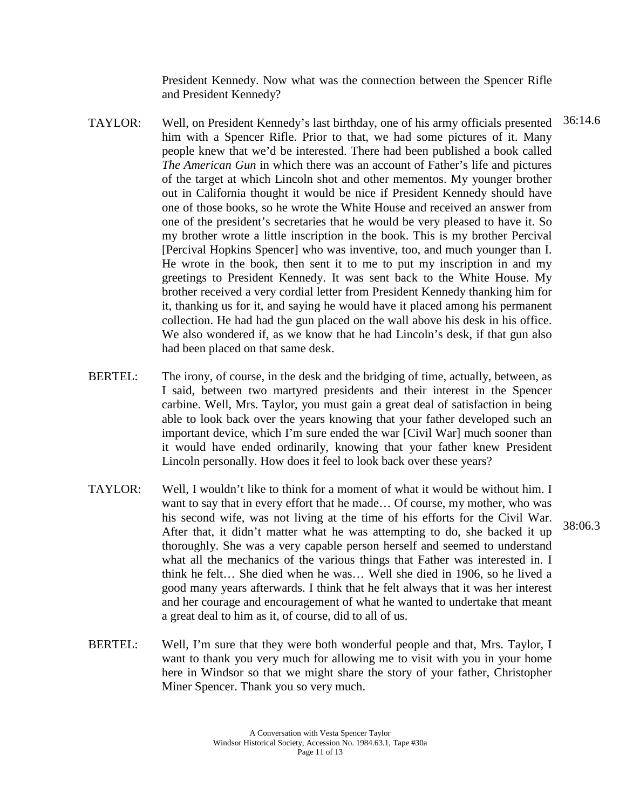President Kennedy. Now what was the connection between the Spencer Rifle and President Kennedy?

- TAYLOR: Well, on President Kennedy's last birthday, one of his army officials presented 36:14.6 him with a Spencer Rifle. Prior to that, we had some pictures of it. Many people knew that we'd be interested. There had been published a book called *The American Gun* in which there was an account of Father's life and pictures of the target at which Lincoln shot and other mementos. My younger brother out in California thought it would be nice if President Kennedy should have one of those books, so he wrote the White House and received an answer from one of the president's secretaries that he would be very pleased to have it. So my brother wrote a little inscription in the book. This is my brother Percival [Percival Hopkins Spencer] who was inventive, too, and much younger than I. He wrote in the book, then sent it to me to put my inscription in and my greetings to President Kennedy. It was sent back to the White House. My brother received a very cordial letter from President Kennedy thanking him for it, thanking us for it, and saying he would have it placed among his permanent collection. He had had the gun placed on the wall above his desk in his office. We also wondered if, as we know that he had Lincoln's desk, if that gun also had been placed on that same desk.
- BERTEL: The irony, of course, in the desk and the bridging of time, actually, between, as I said, between two martyred presidents and their interest in the Spencer carbine. Well, Mrs. Taylor, you must gain a great deal of satisfaction in being able to look back over the years knowing that your father developed such an important device, which I'm sure ended the war [Civil War] much sooner than it would have ended ordinarily, knowing that your father knew President Lincoln personally. How does it feel to look back over these years?
- TAYLOR: Well, I wouldn't like to think for a moment of what it would be without him. I want to say that in every effort that he made… Of course, my mother, who was his second wife, was not living at the time of his efforts for the Civil War. After that, it didn't matter what he was attempting to do, she backed it up thoroughly. She was a very capable person herself and seemed to understand what all the mechanics of the various things that Father was interested in. I think he felt… She died when he was… Well she died in 1906, so he lived a good many years afterwards. I think that he felt always that it was her interest and her courage and encouragement of what he wanted to undertake that meant a great deal to him as it, of course, did to all of us.
- BERTEL: Well, I'm sure that they were both wonderful people and that, Mrs. Taylor, I want to thank you very much for allowing me to visit with you in your home here in Windsor so that we might share the story of your father, Christopher Miner Spencer. Thank you so very much.

38:06.3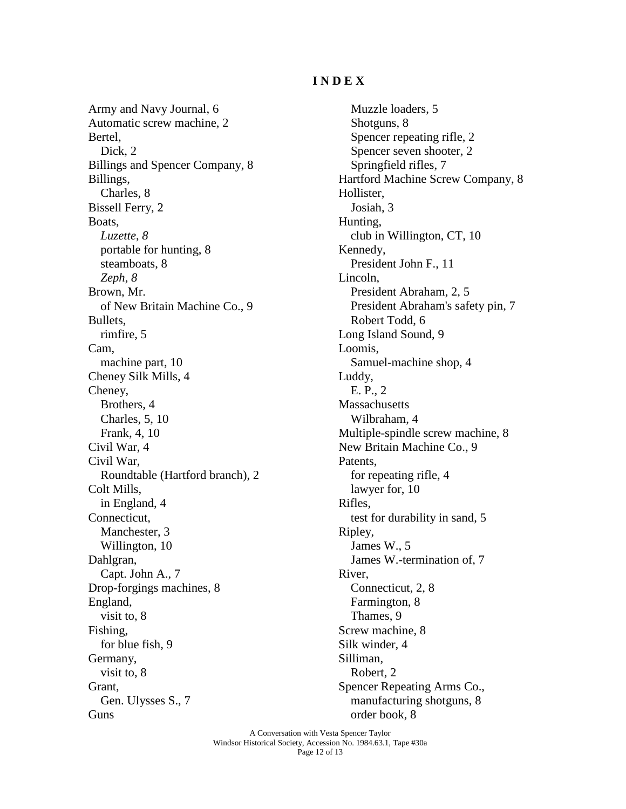## **I N D E X**

Army and Navy Journal, 6 Automatic screw machine, 2 Bertel, Dick, 2 Billings and Spencer Company, 8 Billings, Charles, 8 Bissell Ferry, 2 Boats, *Luzette*, *8* portable for hunting, 8 steamboats, 8 *Zeph*, *8* Brown, Mr. of New Britain Machine Co., 9 Bullets, rimfire, 5 Cam, machine part, 10 Cheney Silk Mills, 4 Cheney, Brothers, 4 Charles, 5, 10 Frank, 4, 10 Civil War, 4 Civil War, Roundtable (Hartford branch), 2 Colt Mills, in England, 4 Connecticut, Manchester, 3 Willington, 10 Dahlgran, Capt. John A., 7 Drop-forgings machines, 8 England, visit to, 8 Fishing, for blue fish, 9 Germany, visit to, 8 Grant, Gen. Ulysses S., 7 Guns

Muzzle loaders, 5 Shotguns, 8 Spencer repeating rifle, 2 Spencer seven shooter, 2 Springfield rifles, 7 Hartford Machine Screw Company, 8 Hollister, Josiah, 3 Hunting, club in Willington, CT, 10 Kennedy, President John F., 11 Lincoln, President Abraham, 2, 5 President Abraham's safety pin, 7 Robert Todd, 6 Long Island Sound, 9 Loomis, Samuel-machine shop, 4 Luddy, E. P., 2 **Massachusetts** Wilbraham, 4 Multiple-spindle screw machine, 8 New Britain Machine Co., 9 Patents, for repeating rifle, 4 lawyer for, 10 Rifles, test for durability in sand, 5 Ripley, James W., 5 James W.-termination of, 7 River, Connecticut, 2, 8 Farmington, 8 Thames, 9 Screw machine, 8 Silk winder, 4 Silliman, Robert, 2 Spencer Repeating Arms Co., manufacturing shotguns, 8 order book, 8

A Conversation with Vesta Spencer Taylor Windsor Historical Society, Accession No. 1984.63.1, Tape #30a Page 12 of 13